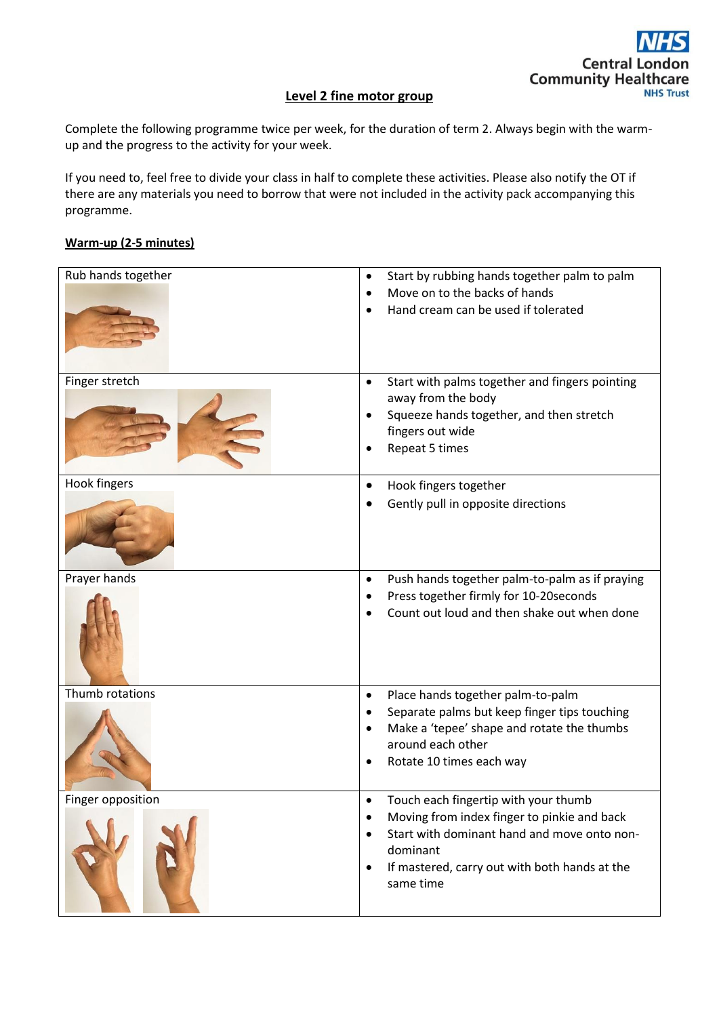

#### **Level 2 fine motor group**

Complete the following programme twice per week, for the duration of term 2. Always begin with the warmup and the progress to the activity for your week.

If you need to, feel free to divide your class in half to complete these activities. Please also notify the OT if there are any materials you need to borrow that were not included in the activity pack accompanying this programme.

#### **Warm-up (2-5 minutes)**

| Rub hands together | Start by rubbing hands together palm to palm<br>$\bullet$<br>Move on to the backs of hands<br>$\bullet$<br>Hand cream can be used if tolerated                                                                                                                   |
|--------------------|------------------------------------------------------------------------------------------------------------------------------------------------------------------------------------------------------------------------------------------------------------------|
| Finger stretch     | Start with palms together and fingers pointing<br>$\bullet$<br>away from the body<br>Squeeze hands together, and then stretch<br>$\bullet$<br>fingers out wide<br>Repeat 5 times                                                                                 |
| Hook fingers       | Hook fingers together<br>$\bullet$<br>Gently pull in opposite directions                                                                                                                                                                                         |
| Prayer hands       | Push hands together palm-to-palm as if praying<br>$\bullet$<br>Press together firmly for 10-20seconds<br>$\bullet$<br>Count out loud and then shake out when done                                                                                                |
| Thumb rotations    | Place hands together palm-to-palm<br>$\bullet$<br>Separate palms but keep finger tips touching<br>$\bullet$<br>Make a 'tepee' shape and rotate the thumbs<br>$\bullet$<br>around each other<br>Rotate 10 times each way<br>$\bullet$                             |
| Finger opposition  | Touch each fingertip with your thumb<br>$\bullet$<br>Moving from index finger to pinkie and back<br>$\bullet$<br>Start with dominant hand and move onto non-<br>$\bullet$<br>dominant<br>If mastered, carry out with both hands at the<br>$\bullet$<br>same time |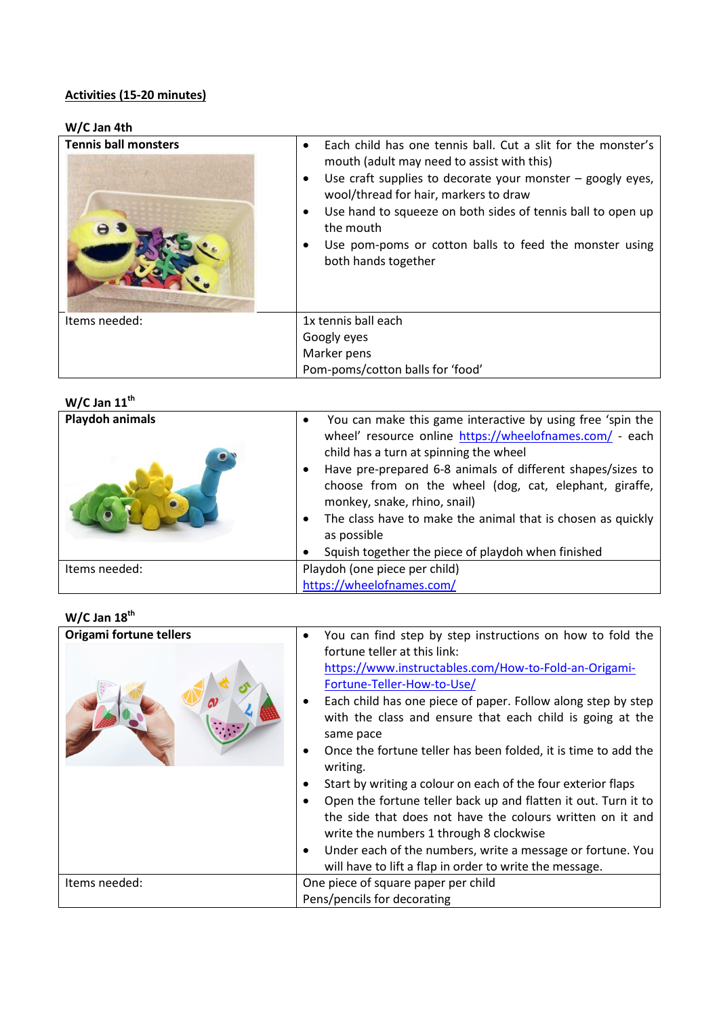## **Activities (15-20 minutes)**

### **W/C Jan 4th**

| <b>Tennis ball monsters</b> | Each child has one tennis ball. Cut a slit for the monster's<br>$\bullet$<br>mouth (adult may need to assist with this)<br>Use craft supplies to decorate your monster $-$ googly eyes,<br>$\bullet$<br>wool/thread for hair, markers to draw<br>Use hand to squeeze on both sides of tennis ball to open up<br>$\bullet$<br>the mouth<br>Use pom-poms or cotton balls to feed the monster using<br>٠<br>both hands together |
|-----------------------------|------------------------------------------------------------------------------------------------------------------------------------------------------------------------------------------------------------------------------------------------------------------------------------------------------------------------------------------------------------------------------------------------------------------------------|
| Items needed:               | 1x tennis ball each                                                                                                                                                                                                                                                                                                                                                                                                          |
|                             | Googly eyes                                                                                                                                                                                                                                                                                                                                                                                                                  |
|                             | Marker pens                                                                                                                                                                                                                                                                                                                                                                                                                  |
|                             | Pom-poms/cotton balls for 'food'                                                                                                                                                                                                                                                                                                                                                                                             |

# **W/C Jan 11th**

| <b>Playdoh animals</b> | You can make this game interactive by using free 'spin the<br>wheel' resource online https://wheelofnames.com/ - each<br>child has a turn at spinning the wheel<br>Have pre-prepared 6-8 animals of different shapes/sizes to<br>choose from on the wheel (dog, cat, elephant, giraffe,<br>monkey, snake, rhino, snail)<br>The class have to make the animal that is chosen as quickly<br>as possible |
|------------------------|-------------------------------------------------------------------------------------------------------------------------------------------------------------------------------------------------------------------------------------------------------------------------------------------------------------------------------------------------------------------------------------------------------|
|                        | Squish together the piece of playdoh when finished                                                                                                                                                                                                                                                                                                                                                    |
| Items needed:          | Playdoh (one piece per child)                                                                                                                                                                                                                                                                                                                                                                         |
|                        | https://wheelofnames.com/                                                                                                                                                                                                                                                                                                                                                                             |

# **W/C Jan 18th**

| Origami fortune tellers | You can find step by step instructions on how to fold the<br>٠                                                                                                                                                                                                                                                                                                                                                                                                                                                                                                                                                                                                                                                 |
|-------------------------|----------------------------------------------------------------------------------------------------------------------------------------------------------------------------------------------------------------------------------------------------------------------------------------------------------------------------------------------------------------------------------------------------------------------------------------------------------------------------------------------------------------------------------------------------------------------------------------------------------------------------------------------------------------------------------------------------------------|
|                         | fortune teller at this link:<br>https://www.instructables.com/How-to-Fold-an-Origami-<br>Fortune-Teller-How-to-Use/<br>Each child has one piece of paper. Follow along step by step<br>with the class and ensure that each child is going at the<br>same pace<br>Once the fortune teller has been folded, it is time to add the<br>writing.<br>Start by writing a colour on each of the four exterior flaps<br>Open the fortune teller back up and flatten it out. Turn it to<br>the side that does not have the colours written on it and<br>write the numbers 1 through 8 clockwise<br>Under each of the numbers, write a message or fortune. You<br>will have to lift a flap in order to write the message. |
| Items needed:           | One piece of square paper per child<br>Pens/pencils for decorating                                                                                                                                                                                                                                                                                                                                                                                                                                                                                                                                                                                                                                             |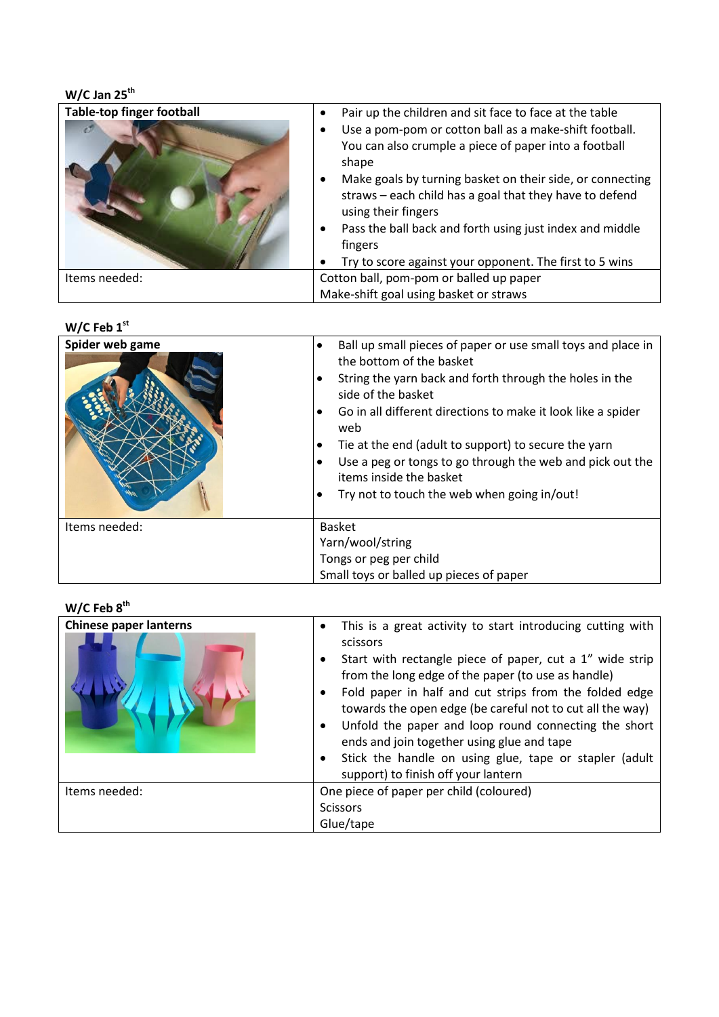| $W/C$ Jan 25 <sup>th</sup>       |                                                                                                                                                          |
|----------------------------------|----------------------------------------------------------------------------------------------------------------------------------------------------------|
| <b>Table-top finger football</b> | Pair up the children and sit face to face at the table<br>$\bullet$                                                                                      |
|                                  | Use a pom-pom or cotton ball as a make-shift football.<br>٠<br>You can also crumple a piece of paper into a football<br>shape                            |
|                                  | Make goals by turning basket on their side, or connecting<br>$\bullet$<br>straws - each child has a goal that they have to defend<br>using their fingers |
|                                  | Pass the ball back and forth using just index and middle<br>$\bullet$<br>fingers                                                                         |
|                                  | Try to score against your opponent. The first to 5 wins<br>$\bullet$                                                                                     |
| Items needed:                    | Cotton ball, pom-pom or balled up paper                                                                                                                  |
|                                  | Make-shift goal using basket or straws                                                                                                                   |

#### **W/C Feb 1st**

| Spider web game | Ball up small pieces of paper or use small toys and place in<br>the bottom of the basket<br>String the yarn back and forth through the holes in the<br>side of the basket<br>Go in all different directions to make it look like a spider<br>web<br>Tie at the end (adult to support) to secure the yarn<br>Use a peg or tongs to go through the web and pick out the<br>٠<br>items inside the basket<br>Try not to touch the web when going in/out! |
|-----------------|------------------------------------------------------------------------------------------------------------------------------------------------------------------------------------------------------------------------------------------------------------------------------------------------------------------------------------------------------------------------------------------------------------------------------------------------------|
| Items needed:   | <b>Basket</b><br>Yarn/wool/string<br>Tongs or peg per child<br>Small toys or balled up pieces of paper                                                                                                                                                                                                                                                                                                                                               |

# **W/C Feb 8th**

| <b>Chinese paper lanterns</b> | This is a great activity to start introducing cutting with<br>scissors<br>Start with rectangle piece of paper, cut a 1" wide strip<br>from the long edge of the paper (to use as handle)<br>Fold paper in half and cut strips from the folded edge<br>towards the open edge (be careful not to cut all the way)<br>Unfold the paper and loop round connecting the short<br>ends and join together using glue and tape<br>Stick the handle on using glue, tape or stapler (adult<br>support) to finish off your lantern |
|-------------------------------|------------------------------------------------------------------------------------------------------------------------------------------------------------------------------------------------------------------------------------------------------------------------------------------------------------------------------------------------------------------------------------------------------------------------------------------------------------------------------------------------------------------------|
| Items needed:                 | One piece of paper per child (coloured)                                                                                                                                                                                                                                                                                                                                                                                                                                                                                |
|                               | <b>Scissors</b>                                                                                                                                                                                                                                                                                                                                                                                                                                                                                                        |
|                               | Glue/tape                                                                                                                                                                                                                                                                                                                                                                                                                                                                                                              |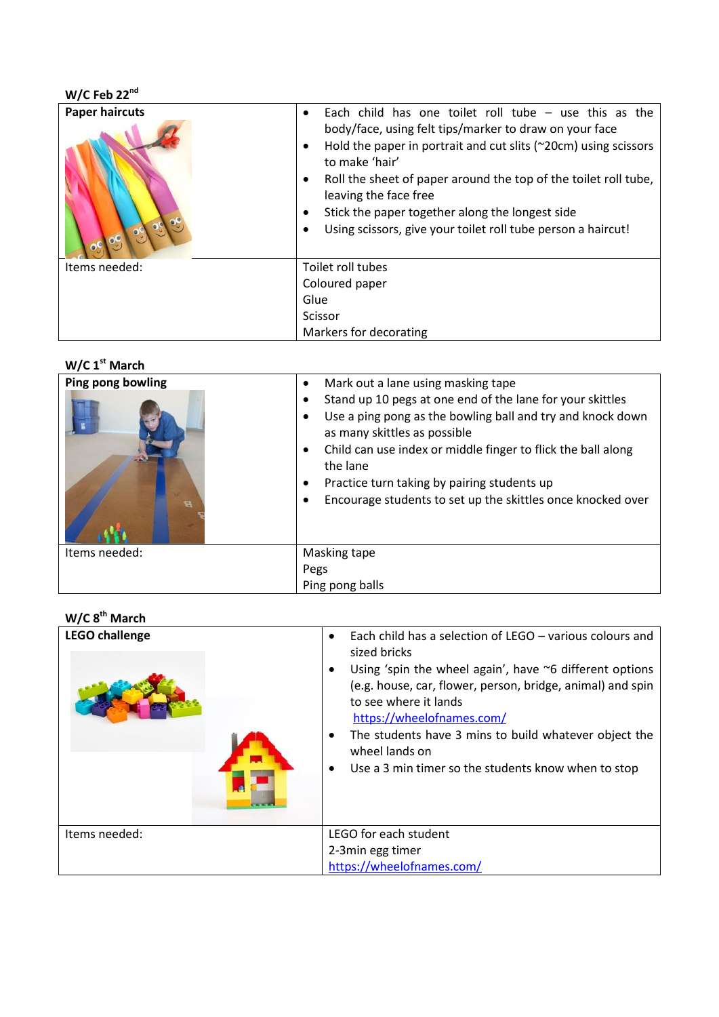| $W/C$ Feb 22 $nd$     |                                                                                                                                                                                                                                                                                                                                                                                                                                              |
|-----------------------|----------------------------------------------------------------------------------------------------------------------------------------------------------------------------------------------------------------------------------------------------------------------------------------------------------------------------------------------------------------------------------------------------------------------------------------------|
| <b>Paper haircuts</b> | Each child has one toilet roll tube $-$ use this as the<br>$\bullet$<br>body/face, using felt tips/marker to draw on your face<br>Hold the paper in portrait and cut slits ( $\approx$ 20cm) using scissors<br>to make 'hair'<br>Roll the sheet of paper around the top of the toilet roll tube,<br>leaving the face free<br>Stick the paper together along the longest side<br>Using scissors, give your toilet roll tube person a haircut! |
| Items needed:         | Toilet roll tubes                                                                                                                                                                                                                                                                                                                                                                                                                            |
|                       | Coloured paper                                                                                                                                                                                                                                                                                                                                                                                                                               |
|                       | Glue                                                                                                                                                                                                                                                                                                                                                                                                                                         |
|                       | Scissor                                                                                                                                                                                                                                                                                                                                                                                                                                      |
|                       | Markers for decorating                                                                                                                                                                                                                                                                                                                                                                                                                       |

#### **W/C 1st March**

| Ping pong bowling<br>в | Mark out a lane using masking tape<br>$\bullet$<br>Stand up 10 pegs at one end of the lane for your skittles<br>Use a ping pong as the bowling ball and try and knock down<br>$\bullet$<br>as many skittles as possible<br>Child can use index or middle finger to flick the ball along<br>٠<br>the lane<br>Practice turn taking by pairing students up<br>٠<br>Encourage students to set up the skittles once knocked over<br>$\bullet$ |
|------------------------|------------------------------------------------------------------------------------------------------------------------------------------------------------------------------------------------------------------------------------------------------------------------------------------------------------------------------------------------------------------------------------------------------------------------------------------|
| Items needed:          | Masking tape<br>Pegs<br>Ping pong balls                                                                                                                                                                                                                                                                                                                                                                                                  |

#### **W/C 8 th March**

| <b>LEGO challenge</b> | Each child has a selection of LEGO – various colours and<br>$\bullet$<br>sized bricks<br>Using 'spin the wheel again', have $\sim$ 6 different options<br>$\bullet$<br>(e.g. house, car, flower, person, bridge, animal) and spin<br>to see where it lands<br>https://wheelofnames.com/<br>The students have 3 mins to build whatever object the<br>$\bullet$<br>wheel lands on<br>Use a 3 min timer so the students know when to stop<br>٠ |
|-----------------------|---------------------------------------------------------------------------------------------------------------------------------------------------------------------------------------------------------------------------------------------------------------------------------------------------------------------------------------------------------------------------------------------------------------------------------------------|
| Items needed:         | LEGO for each student                                                                                                                                                                                                                                                                                                                                                                                                                       |
|                       | 2-3min egg timer                                                                                                                                                                                                                                                                                                                                                                                                                            |
|                       | https://wheelofnames.com/                                                                                                                                                                                                                                                                                                                                                                                                                   |